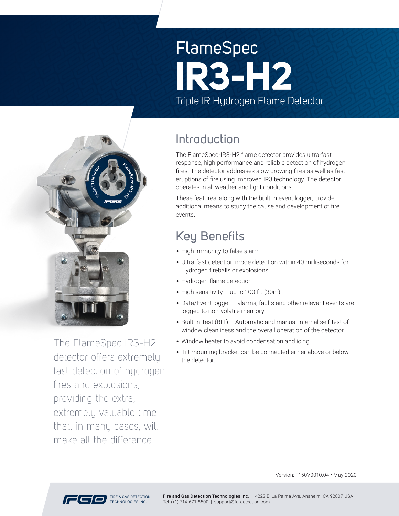# FlameSpec Triple IR Hydrogen Flame Detector **IR3-H2**



The FlameSpec IR3-H2 detector offers extremely fast detection of hydrogen fires and explosions, providing the extra, extremely valuable time that, in many cases, will make all the difference

### Introduction

The FlameSpec-IR3-H2 flame detector provides ultra-fast response, high performance and reliable detection of hydrogen fires. The detector addresses slow growing fires as well as fast eruptions of fire using improved IR3 technology. The detector operates in all weather and light conditions.

These features, along with the built-in event logger, provide additional means to study the cause and development of fire events.

# Key Benefits

- High immunity to false alarm
- Ultra-fast detection mode detection within 40 milliseconds for Hydrogen fireballs or explosions
- Hydrogen flame detection
- High sensitivity up to 100 ft. (30m)
- Data/Event logger alarms, faults and other relevant events are logged to non-volatile memory
- Built-in-Test (BIT) Automatic and manual internal self-test of window cleanliness and the overall operation of the detector
- Window heater to avoid condensation and icing
- Tilt mounting bracket can be connected either above or below the detector.

Version: F150V0010.04 • May 20 20

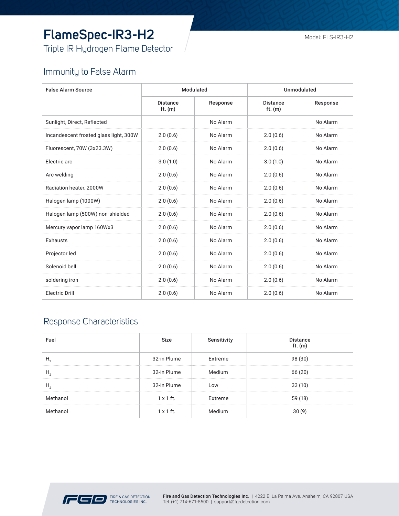# **FlameSpec-IR3-H2**

Triple IR Hydrogen Flame Detector

#### Model: FLS-IR3-H2

### Immunity to False Alarm

| <b>False Alarm Source</b>              | Modulated                    |          | Unmodulated                  |          |
|----------------------------------------|------------------------------|----------|------------------------------|----------|
|                                        | <b>Distance</b><br>ft. $(m)$ | Response | <b>Distance</b><br>ft. $(m)$ | Response |
| Sunlight, Direct, Reflected            |                              | No Alarm |                              | No Alarm |
| Incandescent frosted glass light, 300W | 2.0(0.6)                     | No Alarm | 2.0(0.6)                     | No Alarm |
| Fluorescent, 70W (3x23.3W)             | 2.0(0.6)                     | No Alarm | 2.0(0.6)                     | No Alarm |
| Electric arc                           | 3.0(1.0)                     | No Alarm | 3.0(1.0)                     | No Alarm |
| Arc welding                            | 2.0(0.6)                     | No Alarm | 2.0(0.6)                     | No Alarm |
| Radiation heater, 2000W                | 2.0(0.6)                     | No Alarm | 2.0(0.6)                     | No Alarm |
| Halogen lamp (1000W)                   | 2.0(0.6)                     | No Alarm | 2.0(0.6)                     | No Alarm |
| Halogen lamp (500W) non-shielded       | 2.0(0.6)                     | No Alarm | 2.0(0.6)                     | No Alarm |
| Mercury vapor lamp 160Wx3              | 2.0(0.6)                     | No Alarm | 2.0(0.6)                     | No Alarm |
| Exhausts                               | 2.0(0.6)                     | No Alarm | 2.0(0.6)                     | No Alarm |
| Projector led                          | 2.0(0.6)                     | No Alarm | 2.0(0.6)                     | No Alarm |
| Solenoid bell                          | 2.0(0.6)                     | No Alarm | 2.0(0.6)                     | No Alarm |
| soldering iron                         | 2.0(0.6)                     | No Alarm | 2.0(0.6)                     | No Alarm |
| Electric Drill                         | 2.0(0.6)                     | No Alarm | 2.0(0.6)                     | No Alarm |

### Response Characteristics

| Fuel     | Size             | Sensitivity | <b>Distance</b><br>ft. $(m)$ |
|----------|------------------|-------------|------------------------------|
|          | 32-in Plume      | Extreme     | 98 (30)                      |
| H,       | 32-in Plume      | Medium      | 66(20)                       |
| H,       | 32-in Plume      | LOW         | 33(10)                       |
| Methanol | $1 \times 1$ ft. | Extreme     | 59 (18)                      |
| Methanol | $1 \times 1$ ft. |             |                              |